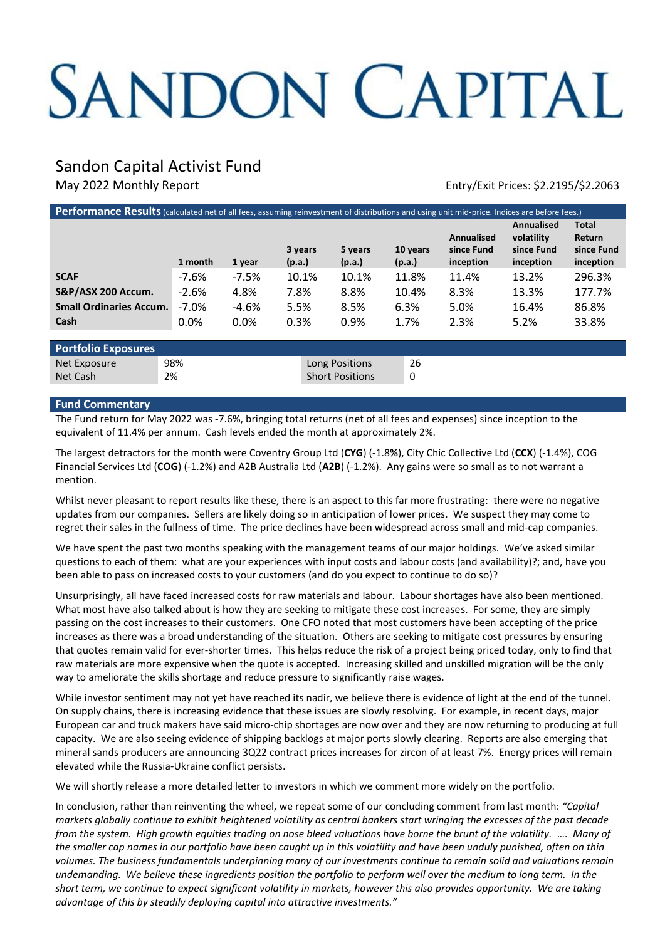# SANDON CAPITAL

# Sandon Capital Activist Fund

May 2022 Monthly Report **Entry/Exit Prices: \$2.2195/\$2.2063** 

| Performance Results (calculated net of all fees, assuming reinvestment of distributions and using unit mid-price. Indices are before fees.) |          |         |                   |                             |                   |        |          |                                              |                                                     |                                            |
|---------------------------------------------------------------------------------------------------------------------------------------------|----------|---------|-------------------|-----------------------------|-------------------|--------|----------|----------------------------------------------|-----------------------------------------------------|--------------------------------------------|
|                                                                                                                                             | 1 month  | 1 year  | 3 years<br>(p.a.) |                             | 5 years<br>(p.a.) | (p.a.) | 10 years | <b>Annualised</b><br>since Fund<br>inception | Annualised<br>volatility<br>since Fund<br>inception | Total<br>Return<br>since Fund<br>inception |
| <b>SCAF</b>                                                                                                                                 | -7.6%    | $-7.5%$ |                   | 10.1%                       | 10.1%             | 11.8%  |          | 11.4%                                        | 13.2%                                               | 296.3%                                     |
| S&P/ASX 200 Accum.                                                                                                                          | $-2.6%$  | 4.8%    | 7.8%              |                             | 8.8%              |        | 10.4%    | 8.3%                                         | 13.3%                                               | 177.7%                                     |
| <b>Small Ordinaries Accum.</b>                                                                                                              | $-7.0\%$ | $-4.6%$ | 5.5%              |                             | 8.5%              | 6.3%   |          | 5.0%                                         | 16.4%                                               | 86.8%                                      |
| Cash                                                                                                                                        | $0.0\%$  | $0.0\%$ | 0.3%              |                             | 0.9%              | 1.7%   |          | 2.3%                                         | 5.2%                                                | 33.8%                                      |
|                                                                                                                                             |          |         |                   |                             |                   |        |          |                                              |                                                     |                                            |
| <b>Portfolio Exposures</b>                                                                                                                  |          |         |                   |                             |                   |        |          |                                              |                                                     |                                            |
| Net Exposure                                                                                                                                | 98%      |         |                   | 26<br>Long Positions        |                   |        |          |                                              |                                                     |                                            |
| Net Cash                                                                                                                                    | 2%       |         |                   | <b>Short Positions</b><br>0 |                   |        |          |                                              |                                                     |                                            |

## **Fund Commentary**

The Fund return for May 2022 was -7.6%, bringing total returns (net of all fees and expenses) since inception to the equivalent of 11.4% per annum. Cash levels ended the month at approximately 2%.

The largest detractors for the month were Coventry Group Ltd (**CYG**) (-1.8**%**), City Chic Collective Ltd (**CCX**) (-1.4%), COG Financial Services Ltd (**COG**) (-1.2%) and A2B Australia Ltd (**A2B**) (-1.2%). Any gains were so small as to not warrant a mention.

Whilst never pleasant to report results like these, there is an aspect to this far more frustrating: there were no negative updates from our companies. Sellers are likely doing so in anticipation of lower prices. We suspect they may come to regret their sales in the fullness of time. The price declines have been widespread across small and mid-cap companies.

We have spent the past two months speaking with the management teams of our major holdings. We've asked similar questions to each of them: what are your experiences with input costs and labour costs (and availability)?; and, have you been able to pass on increased costs to your customers (and do you expect to continue to do so)?

Unsurprisingly, all have faced increased costs for raw materials and labour. Labour shortages have also been mentioned. What most have also talked about is how they are seeking to mitigate these cost increases. For some, they are simply passing on the cost increases to their customers. One CFO noted that most customers have been accepting of the price increases as there was a broad understanding of the situation. Others are seeking to mitigate cost pressures by ensuring that quotes remain valid for ever-shorter times. This helps reduce the risk of a project being priced today, only to find that raw materials are more expensive when the quote is accepted. Increasing skilled and unskilled migration will be the only way to ameliorate the skills shortage and reduce pressure to significantly raise wages.

While investor sentiment may not yet have reached its nadir, we believe there is evidence of light at the end of the tunnel. On supply chains, there is increasing evidence that these issues are slowly resolving. For example, in recent days, major European car and truck makers have said micro-chip shortages are now over and they are now returning to producing at full capacity. We are also seeing evidence of shipping backlogs at major ports slowly clearing. Reports are also emerging that mineral sands producers are announcing 3Q22 contract prices increases for zircon of at least 7%. Energy prices will remain elevated while the Russia-Ukraine conflict persists.

We will shortly release a more detailed letter to investors in which we comment more widely on the portfolio.

In conclusion, rather than reinventing the wheel, we repeat some of our concluding comment from last month: *"Capital markets globally continue to exhibit heightened volatility as central bankers start wringing the excesses of the past decade from the system. High growth equities trading on nose bleed valuations have borne the brunt of the volatility. …. Many of the smaller cap names in our portfolio have been caught up in this volatility and have been unduly punished, often on thin volumes. The business fundamentals underpinning many of our investments continue to remain solid and valuations remain undemanding. We believe these ingredients position the portfolio to perform well over the medium to long term. In the short term, we continue to expect significant volatility in markets, however this also provides opportunity. We are taking advantage of this by steadily deploying capital into attractive investments."*